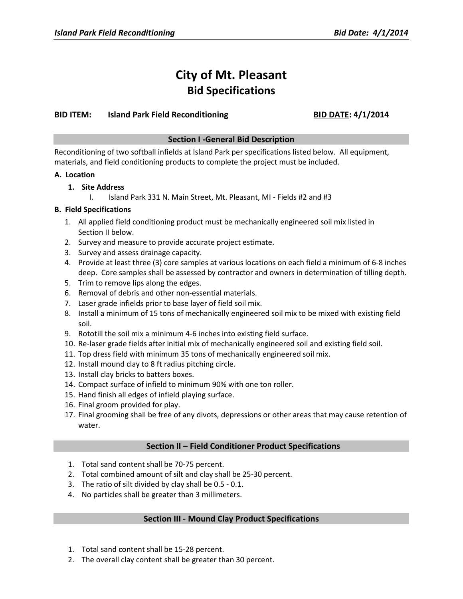# **City of Mt. Pleasant Bid Specifications**

# **BID ITEM: Island Park Field Reconditioning BID DATE: 4/1/2014**

# **Section I -General Bid Description**

Reconditioning of two softball infields at Island Park per specifications listed below. All equipment, materials, and field conditioning products to complete the project must be included.

### **A. Location**

# **1. Site Address**

I. Island Park 331 N. Main Street, Mt. Pleasant, MI - Fields #2 and #3

# **B. Field Specifications**

- 1. All applied field conditioning product must be mechanically engineered soil mix listed in Section II below.
- 2. Survey and measure to provide accurate project estimate.
- 3. Survey and assess drainage capacity.
- 4. Provide at least three (3) core samples at various locations on each field a minimum of 6-8 inches deep. Core samples shall be assessed by contractor and owners in determination of tilling depth.
- 5. Trim to remove lips along the edges.
- 6. Removal of debris and other non-essential materials.
- 7. Laser grade infields prior to base layer of field soil mix.
- 8. Install a minimum of 15 tons of mechanically engineered soil mix to be mixed with existing field soil.
- 9. Rototill the soil mix a minimum 4-6 inches into existing field surface.
- 10. Re-laser grade fields after initial mix of mechanically engineered soil and existing field soil.
- 11. Top dress field with minimum 35 tons of mechanically engineered soil mix.
- 12. Install mound clay to 8 ft radius pitching circle.
- 13. Install clay bricks to batters boxes.
- 14. Compact surface of infield to minimum 90% with one ton roller.
- 15. Hand finish all edges of infield playing surface.
- 16. Final groom provided for play.
- 17. Final grooming shall be free of any divots, depressions or other areas that may cause retention of water.

### **Section II – Field Conditioner Product Specifications**

- 1. Total sand content shall be 70-75 percent.
- 2. Total combined amount of silt and clay shall be 25-30 percent.
- 3. The ratio of silt divided by clay shall be 0.5 0.1.
- 4. No particles shall be greater than 3 millimeters.

### **Section III - Mound Clay Product Specifications**

- 1. Total sand content shall be 15-28 percent.
- 2. The overall clay content shall be greater than 30 percent.